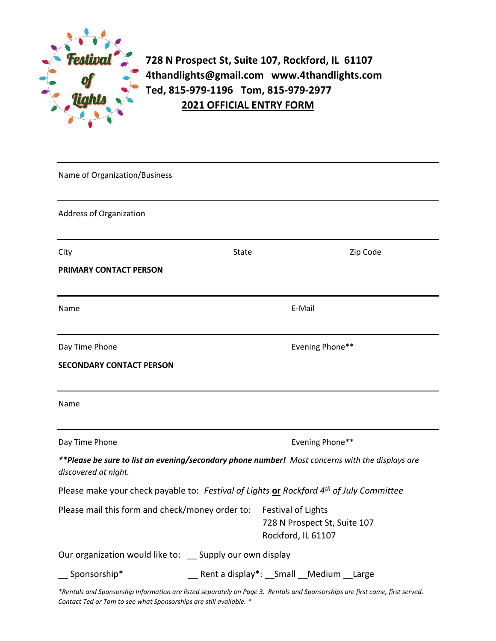

**728 N Prospect St, Suite 107, Rockford, IL 61107 4thandlights@gmail.com www.4thandlights.com Ted, 815-979-1196 Tom, 815-979-2977 2021 OFFICIAL ENTRY FORM**

| Name of Organization/Business                                                                                                |                                                 |                                                                          |  |          |
|------------------------------------------------------------------------------------------------------------------------------|-------------------------------------------------|--------------------------------------------------------------------------|--|----------|
| Address of Organization                                                                                                      |                                                 |                                                                          |  |          |
| City                                                                                                                         | State                                           |                                                                          |  | Zip Code |
| PRIMARY CONTACT PERSON                                                                                                       |                                                 |                                                                          |  |          |
| Name                                                                                                                         | E-Mail                                          |                                                                          |  |          |
| Day Time Phone                                                                                                               | Evening Phone**                                 |                                                                          |  |          |
| <b>SECONDARY CONTACT PERSON</b>                                                                                              |                                                 |                                                                          |  |          |
| Name                                                                                                                         |                                                 |                                                                          |  |          |
| Day Time Phone                                                                                                               | Evening Phone**                                 |                                                                          |  |          |
| **Please be sure to list an evening/secondary phone number! Most concerns with the displays are<br>discovered at night.      |                                                 |                                                                          |  |          |
| Please make your check payable to: Festival of Lights or Rockford 4 <sup>th</sup> of July Committee                          |                                                 |                                                                          |  |          |
| Please mail this form and check/money order to:                                                                              |                                                 | Festival of Lights<br>728 N Prospect St, Suite 107<br>Rockford, IL 61107 |  |          |
| Our organization would like to: _ Supply our own display                                                                     |                                                 |                                                                          |  |          |
| Sponsorship*                                                                                                                 | __ Rent a display*: __ Small __ Medium __ Large |                                                                          |  |          |
| *Rentals and Sponsorship Information are listed separately on Page 3. Rentals and Sponsorships are first come, first served. |                                                 |                                                                          |  |          |

*Contact Ted or Tom to see what Sponsorships are still available. \**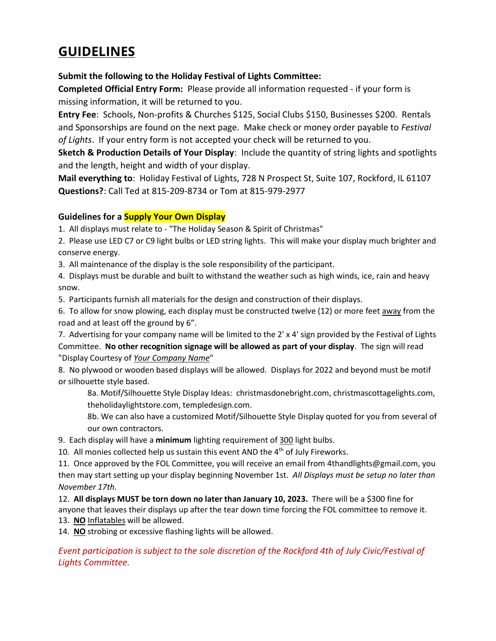# **GUIDELINES**

#### **Submit the following to the Holiday Festival of Lights Committee:**

**Completed Official Entry Form:** Please provide all information requested - if your form is missing information, it will be returned to you.

**Entry Fee**: Schools, Non-profits & Churches \$125, Social Clubs \$150, Businesses \$200. Rentals and Sponsorships are found on the next page. Make check or money order payable to *Festival of Lights*. If your entry form is not accepted your check will be returned to you.

**Sketch & Production Details of Your Display**: Include the quantity of string lights and spotlights and the length, height and width of your display.

**Mail everything to**: Holiday Festival of Lights, 728 N Prospect St, Suite 107, Rockford, IL 61107 **Questions?**: Call Ted at 815-209-8734 or Tom at 815-979-2977

#### **Guidelines for a Supply Your Own Display**

1. All displays must relate to - "The Holiday Season & Spirit of Christmas"

2. Please use LED C7 or C9 light bulbs or LED string lights. This will make your display much brighter and conserve energy.

3. All maintenance of the display is the sole responsibility of the participant.

4. Displays must be durable and built to withstand the weather such as high winds, ice, rain and heavy snow.

5. Participants furnish all materials for the design and construction of their displays.

6. To allow for snow plowing, each display must be constructed twelve (12) or more feet away from the road and at least off the ground by 6".

7. Advertising for your company name will be limited to the 2' x 4' sign provided by the Festival of Lights Committee. **No other recognition signage will be allowed as part of your display**. The sign will read "Display Courtesy of *Your Company Name*"

8. No plywood or wooden based displays will be allowed. Displays for 2022 and beyond must be motif or silhouette style based.

8a. Motif/Silhouette Style Display Ideas: christmasdonebright.com, christmascottagelights.com, theholidaylightstore.com, templedesign.com.

8b. We can also have a customized Motif/Silhouette Style Display quoted for you from several of our own contractors.

9. Each display will have a **minimum** lighting requirement of 300 light bulbs.

10. All monies collected help us sustain this event AND the  $4<sup>th</sup>$  of July Fireworks.

11. Once approved by the FOL Committee, you will receive an email from 4thandlights@gmail.com, you then may start setting up your display beginning November 1st. *All Displays must be setup no later than November 17th.*

12. **All displays MUST be torn down no later than January 10, 2023.** There will be a \$300 fine for anyone that leaves their displays up after the tear down time forcing the FOL committee to remove it. 13. **NO** Inflatables will be allowed.

14. **NO** strobing or excessive flashing lights will be allowed.

*Event participation is subject to the sole discretion of the Rockford 4th of July Civic/Festival of Lights Committee.*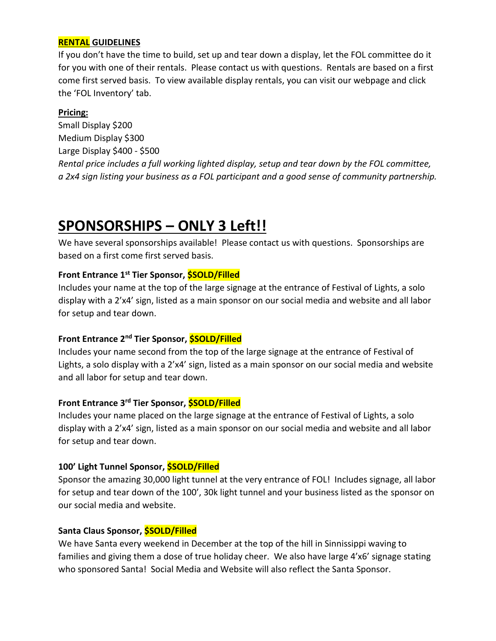# **RENTAL GUIDELINES**

If you don't have the time to build, set up and tear down a display, let the FOL committee do it for you with one of their rentals. Please contact us with questions. Rentals are based on a first come first served basis. To view available display rentals, you can visit our webpage and click the 'FOL Inventory' tab.

#### **Pricing:**

Small Display \$200 Medium Display \$300 Large Display \$400 - \$500 *Rental price includes a full working lighted display, setup and tear down by the FOL committee, a 2x4 sign listing your business as a FOL participant and a good sense of community partnership.*

# **SPONSORSHIPS – ONLY 3 Left!!**

We have several sponsorships available! Please contact us with questions. Sponsorships are based on a first come first served basis.

# **Front Entrance 1st Tier Sponsor, \$SOLD/Filled**

Includes your name at the top of the large signage at the entrance of Festival of Lights, a solo display with a 2'x4' sign, listed as a main sponsor on our social media and website and all labor for setup and tear down.

# **Front Entrance 2nd Tier Sponsor, \$SOLD/Filled**

Includes your name second from the top of the large signage at the entrance of Festival of Lights, a solo display with a 2'x4' sign, listed as a main sponsor on our social media and website and all labor for setup and tear down.

#### **Front Entrance 3rd Tier Sponsor, \$SOLD/Filled**

Includes your name placed on the large signage at the entrance of Festival of Lights, a solo display with a 2'x4' sign, listed as a main sponsor on our social media and website and all labor for setup and tear down.

#### **100' Light Tunnel Sponsor, \$SOLD/Filled**

Sponsor the amazing 30,000 light tunnel at the very entrance of FOL! Includes signage, all labor for setup and tear down of the 100', 30k light tunnel and your business listed as the sponsor on our social media and website.

#### **Santa Claus Sponsor, \$SOLD/Filled**

We have Santa every weekend in December at the top of the hill in Sinnissippi waving to families and giving them a dose of true holiday cheer. We also have large 4'x6' signage stating who sponsored Santa! Social Media and Website will also reflect the Santa Sponsor.